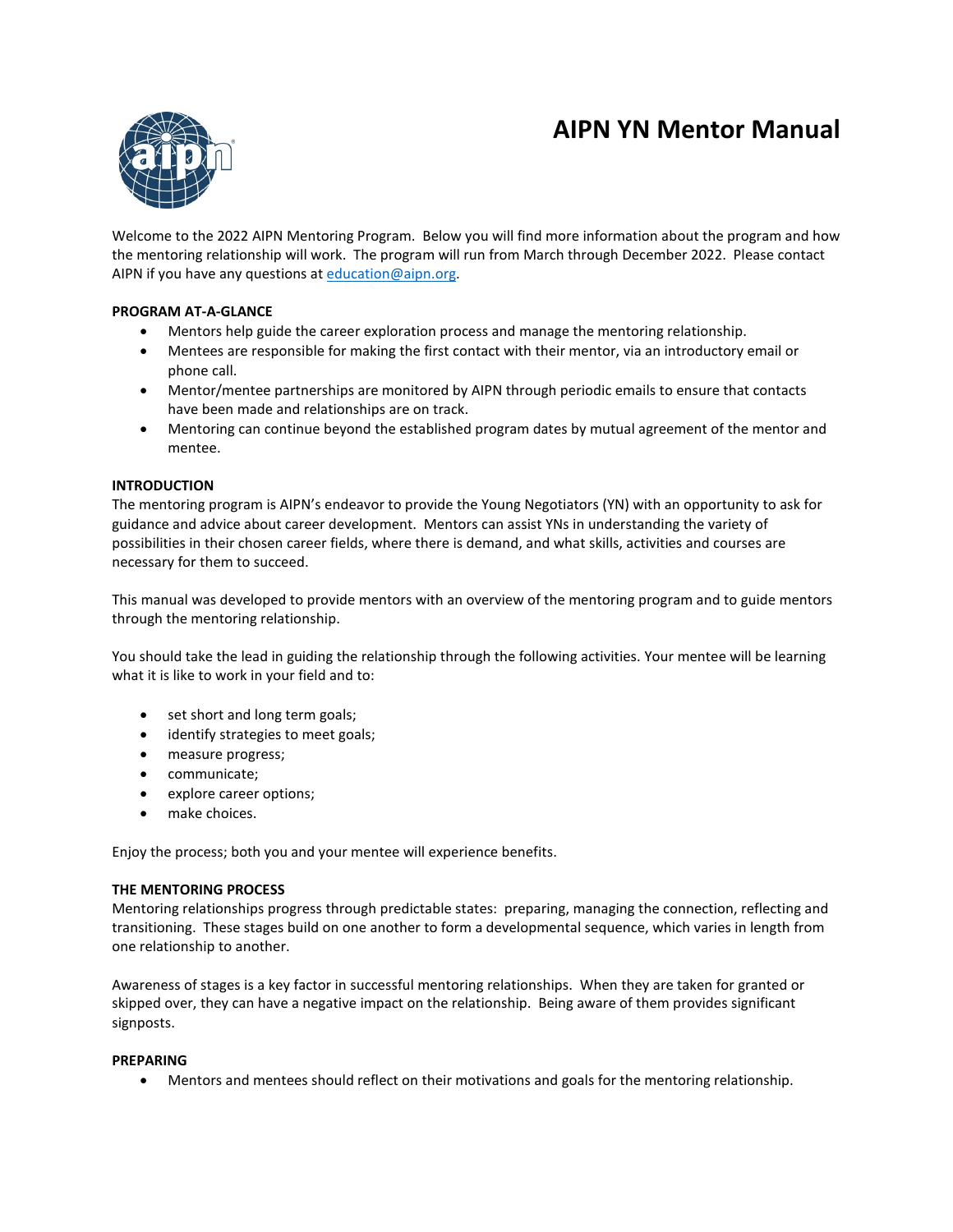# **AIPN YN Mentor Manual**



Welcome to the 2022 AIPN Mentoring Program. Below you will find more information about the program and how the mentoring relationship will work. The program will run from March through December 2022. Please contact AIPN if you have any questions at [education@aipn.org.](mailto:education@aipn.org)

# **PROGRAM AT-A-GLANCE**

- Mentors help guide the career exploration process and manage the mentoring relationship.
- Mentees are responsible for making the first contact with their mentor, via an introductory email or phone call.
- Mentor/mentee partnerships are monitored by AIPN through periodic emails to ensure that contacts have been made and relationships are on track.
- Mentoring can continue beyond the established program dates by mutual agreement of the mentor and mentee.

# **INTRODUCTION**

The mentoring program is AIPN's endeavor to provide the Young Negotiators (YN) with an opportunity to ask for guidance and advice about career development. Mentors can assist YNs in understanding the variety of possibilities in their chosen career fields, where there is demand, and what skills, activities and courses are necessary for them to succeed.

This manual was developed to provide mentors with an overview of the mentoring program and to guide mentors through the mentoring relationship.

You should take the lead in guiding the relationship through the following activities. Your mentee will be learning what it is like to work in your field and to:

- set short and long term goals;
- identify strategies to meet goals;
- measure progress;
- communicate;
- explore career options;
- make choices.

Enjoy the process; both you and your mentee will experience benefits.

# **THE MENTORING PROCESS**

Mentoring relationships progress through predictable states: preparing, managing the connection, reflecting and transitioning. These stages build on one another to form a developmental sequence, which varies in length from one relationship to another.

Awareness of stages is a key factor in successful mentoring relationships. When they are taken for granted or skipped over, they can have a negative impact on the relationship. Being aware of them provides significant signposts.

#### **PREPARING**

• Mentors and mentees should reflect on their motivations and goals for the mentoring relationship.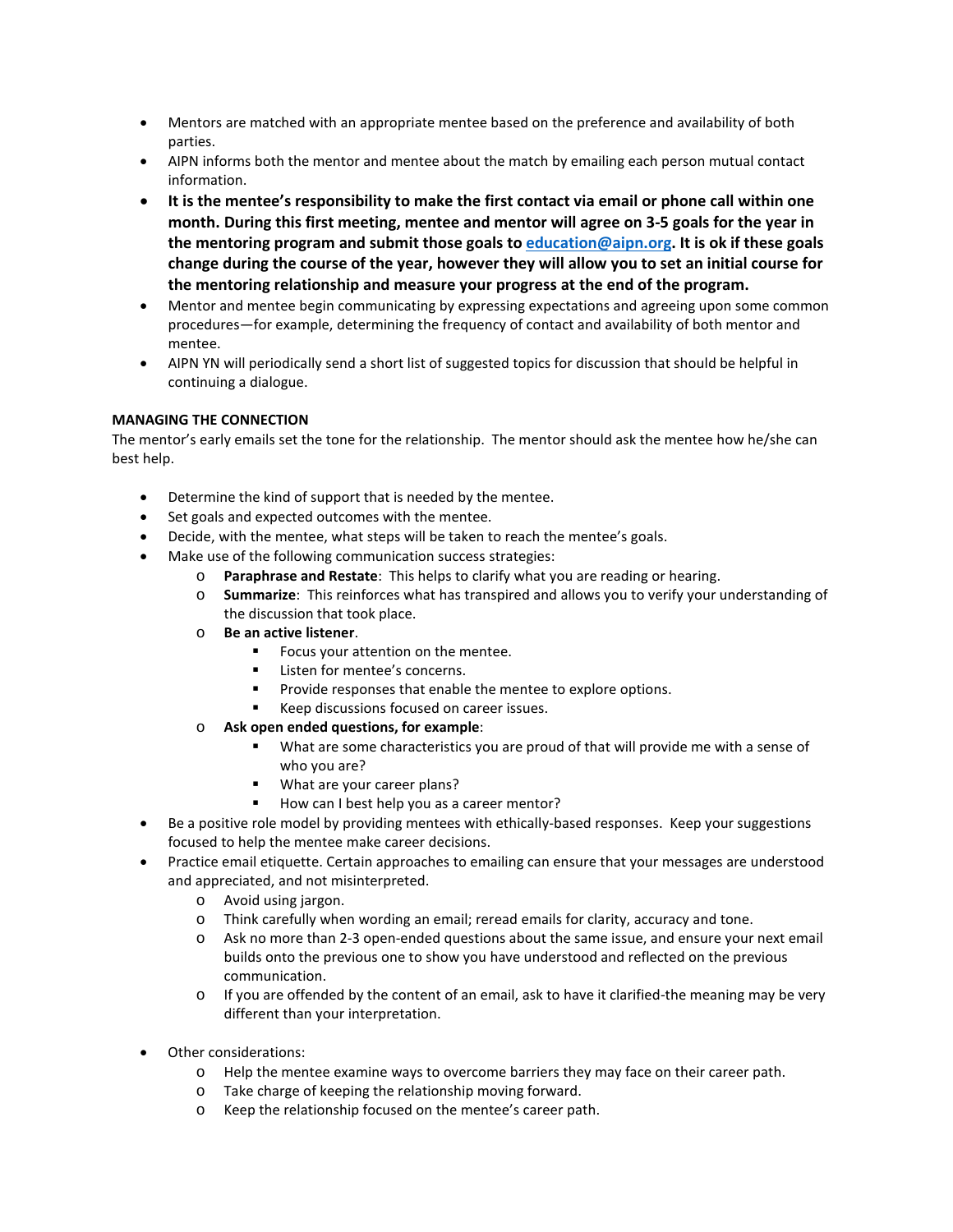- Mentors are matched with an appropriate mentee based on the preference and availability of both parties.
- AIPN informs both the mentor and mentee about the match by emailing each person mutual contact information.
- **It is the mentee's responsibility to make the first contact via email or phone call within one month. During this first meeting, mentee and mentor will agree on 3-5 goals for the year in the mentoring program and submit those goals to [education@aipn.org.](mailto:education@aipn.org) It is ok if these goals change during the course of the year, however they will allow you to set an initial course for the mentoring relationship and measure your progress at the end of the program.**
- Mentor and mentee begin communicating by expressing expectations and agreeing upon some common procedures—for example, determining the frequency of contact and availability of both mentor and mentee.
- AIPN YN will periodically send a short list of suggested topics for discussion that should be helpful in continuing a dialogue.

# **MANAGING THE CONNECTION**

The mentor's early emails set the tone for the relationship. The mentor should ask the mentee how he/she can best help.

- Determine the kind of support that is needed by the mentee.
- Set goals and expected outcomes with the mentee.
- Decide, with the mentee, what steps will be taken to reach the mentee's goals.
- Make use of the following communication success strategies:
	- o **Paraphrase and Restate**: This helps to clarify what you are reading or hearing.
	- o **Summarize**: This reinforces what has transpired and allows you to verify your understanding of the discussion that took place.
	- o **Be an active listener**.
		- Focus your attention on the mentee.
		- Listen for mentee's concerns.
		- **Provide responses that enable the mentee to explore options.**
		- Keep discussions focused on career issues.
	- o **Ask open ended questions, for example**:
		- What are some characteristics you are proud of that will provide me with a sense of who you are?
		- **What are your career plans?**
		- How can I best help you as a career mentor?
- Be a positive role model by providing mentees with ethically-based responses. Keep your suggestions focused to help the mentee make career decisions.
- Practice email etiquette. Certain approaches to emailing can ensure that your messages are understood and appreciated, and not misinterpreted.
	- o Avoid using jargon.
	- o Think carefully when wording an email; reread emails for clarity, accuracy and tone.
	- o Ask no more than 2-3 open-ended questions about the same issue, and ensure your next email builds onto the previous one to show you have understood and reflected on the previous communication.
	- o If you are offended by the content of an email, ask to have it clarified-the meaning may be very different than your interpretation.
- Other considerations:
	- o Help the mentee examine ways to overcome barriers they may face on their career path.
	- o Take charge of keeping the relationship moving forward.
	- o Keep the relationship focused on the mentee's career path.